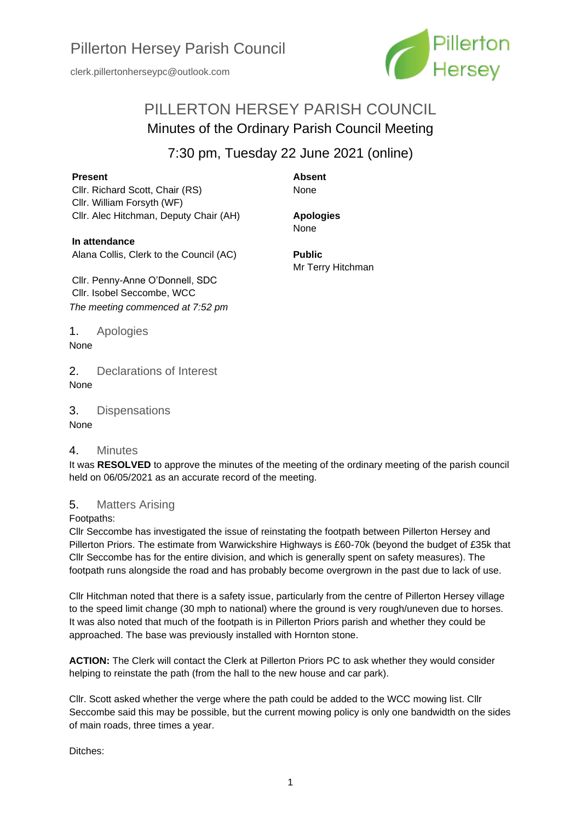

# PILLERTON HERSEY PARISH COUNCIL Minutes of the Ordinary Parish Council Meeting

# 7:30 pm, Tuesday 22 June 2021 (online)

#### **Present**

Cllr. Richard Scott, Chair (RS) Cllr. William Forsyth (WF) Cllr. Alec Hitchman, Deputy Chair (AH) **Absent** None

**Apologies** None

**Public**

Mr Terry Hitchman

**In attendance** Alana Collis, Clerk to the Council (AC)

Cllr. Penny-Anne O'Donnell, SDC Cllr. Isobel Seccombe, WCC *The meeting commenced at 7:52 pm*

1. Apologies None

2. Declarations of Interest None

3. Dispensations

None

#### 4. Minutes

It was **RESOLVED** to approve the minutes of the meeting of the ordinary meeting of the parish council held on 06/05/2021 as an accurate record of the meeting.

## 5. Matters Arising

Footpaths:

Cllr Seccombe has investigated the issue of reinstating the footpath between Pillerton Hersey and Pillerton Priors. The estimate from Warwickshire Highways is £60-70k (beyond the budget of £35k that Cllr Seccombe has for the entire division, and which is generally spent on safety measures). The footpath runs alongside the road and has probably become overgrown in the past due to lack of use.

Cllr Hitchman noted that there is a safety issue, particularly from the centre of Pillerton Hersey village to the speed limit change (30 mph to national) where the ground is very rough/uneven due to horses. It was also noted that much of the footpath is in Pillerton Priors parish and whether they could be approached. The base was previously installed with Hornton stone.

**ACTION:** The Clerk will contact the Clerk at Pillerton Priors PC to ask whether they would consider helping to reinstate the path (from the hall to the new house and car park).

Cllr. Scott asked whether the verge where the path could be added to the WCC mowing list. Cllr Seccombe said this may be possible, but the current mowing policy is only one bandwidth on the sides of main roads, three times a year.

Ditches: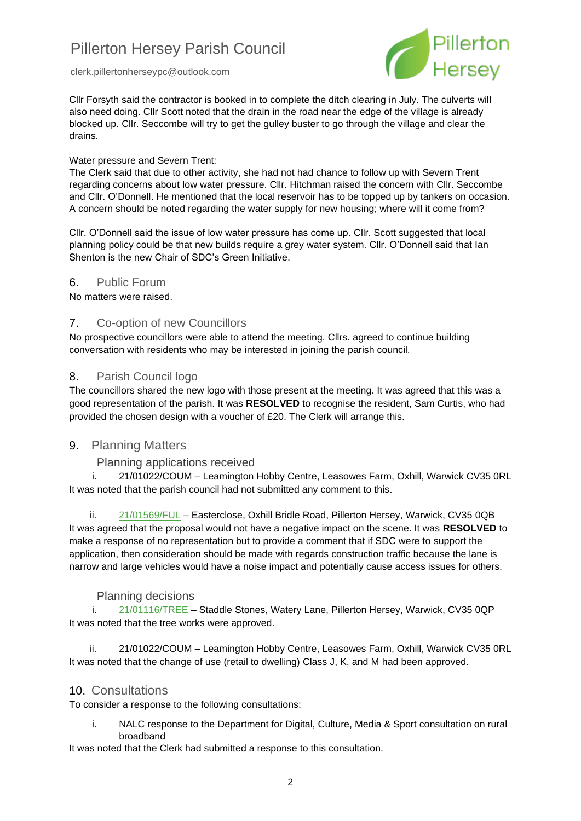



Cllr Forsyth said the contractor is booked in to complete the ditch clearing in July. The culverts will also need doing. Cllr Scott noted that the drain in the road near the edge of the village is already blocked up. Cllr. Seccombe will try to get the gulley buster to go through the village and clear the drains.

#### Water pressure and Severn Trent:

The Clerk said that due to other activity, she had not had chance to follow up with Severn Trent regarding concerns about low water pressure. Cllr. Hitchman raised the concern with Cllr. Seccombe and Cllr. O'Donnell. He mentioned that the local reservoir has to be topped up by tankers on occasion. A concern should be noted regarding the water supply for new housing; where will it come from?

Cllr. O'Donnell said the issue of low water pressure has come up. Cllr. Scott suggested that local planning policy could be that new builds require a grey water system. Cllr. O'Donnell said that Ian Shenton is the new Chair of SDC's Green Initiative.

#### 6. Public Forum

No matters were raised.

#### 7. Co-option of new Councillors

No prospective councillors were able to attend the meeting. Cllrs. agreed to continue building conversation with residents who may be interested in joining the parish council.

#### 8. Parish Council logo

The councillors shared the new logo with those present at the meeting. It was agreed that this was a good representation of the parish. It was **RESOLVED** to recognise the resident, Sam Curtis, who had provided the chosen design with a voucher of £20. The Clerk will arrange this.

#### 9. Planning Matters

#### Planning applications received

i. 21/01022/COUM – Leamington Hobby Centre, Leasowes Farm, Oxhill, Warwick CV35 0RL It was noted that the parish council had not submitted any comment to this.

ii. [21/01569/FUL](https://apps.stratford.gov.uk/eplanning/AppDetail.aspx?appkey=QSXKV1PMM1000) – Easterclose, Oxhill Bridle Road, Pillerton Hersey, Warwick, CV35 0QB It was agreed that the proposal would not have a negative impact on the scene. It was **RESOLVED** to make a response of no representation but to provide a comment that if SDC were to support the application, then consideration should be made with regards construction traffic because the lane is narrow and large vehicles would have a noise impact and potentially cause access issues for others.

#### Planning decisions

i. [21/01116/TREE](https://apps.stratford.gov.uk/eplanning/AppDetail.aspx?appkey=QR4RRUPMFYV00) – Staddle Stones, Watery Lane, Pillerton Hersey, Warwick, CV35 0QP It was noted that the tree works were approved.

ii. 21/01022/COUM – Leamington Hobby Centre, Leasowes Farm, Oxhill, Warwick CV35 0RL It was noted that the change of use (retail to dwelling) Class J, K, and M had been approved.

#### 10. Consultations

To consider a response to the following consultations:

i. NALC response to the Department for Digital, Culture, Media & Sport consultation on rural broadband

It was noted that the Clerk had submitted a response to this consultation.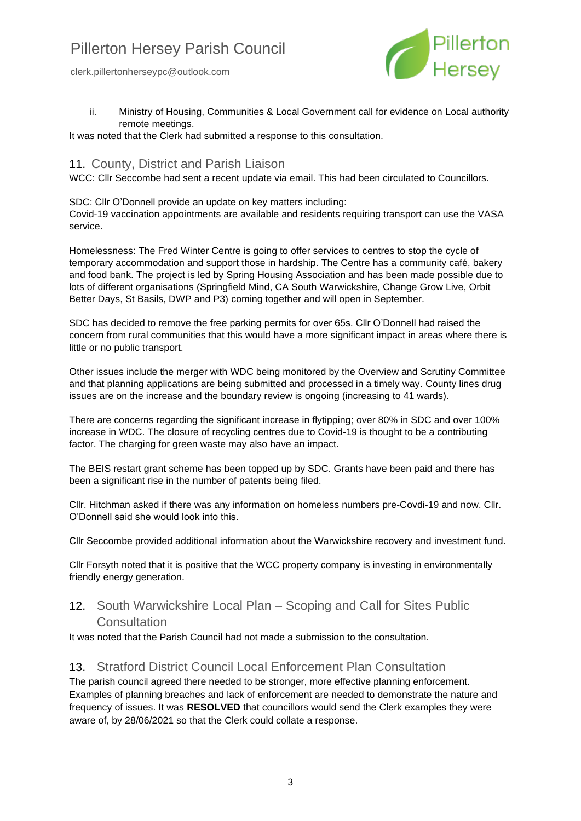

ii. Ministry of Housing, Communities & Local Government call for evidence on Local authority remote meetings.

It was noted that the Clerk had submitted a response to this consultation.

## 11. County, District and Parish Liaison

WCC: Cllr Seccombe had sent a recent update via email. This had been circulated to Councillors.

SDC: Cllr O'Donnell provide an update on key matters including: Covid-19 vaccination appointments are available and residents requiring transport can use the VASA service.

Homelessness: The Fred Winter Centre is going to offer services to centres to stop the cycle of temporary accommodation and support those in hardship. The Centre has a community café, bakery and food bank. The project is led by Spring Housing Association and has been made possible due to lots of different organisations (Springfield Mind, CA South Warwickshire, Change Grow Live, Orbit Better Days, St Basils, DWP and P3) coming together and will open in September.

SDC has decided to remove the free parking permits for over 65s. Cllr O'Donnell had raised the concern from rural communities that this would have a more significant impact in areas where there is little or no public transport.

Other issues include the merger with WDC being monitored by the Overview and Scrutiny Committee and that planning applications are being submitted and processed in a timely way. County lines drug issues are on the increase and the boundary review is ongoing (increasing to 41 wards).

There are concerns regarding the significant increase in flytipping; over 80% in SDC and over 100% increase in WDC. The closure of recycling centres due to Covid-19 is thought to be a contributing factor. The charging for green waste may also have an impact.

The BEIS restart grant scheme has been topped up by SDC. Grants have been paid and there has been a significant rise in the number of patents being filed.

Cllr. Hitchman asked if there was any information on homeless numbers pre-Covdi-19 and now. Cllr. O'Donnell said she would look into this.

Cllr Seccombe provided additional information about the Warwickshire recovery and investment fund.

Cllr Forsyth noted that it is positive that the WCC property company is investing in environmentally friendly energy generation.

## 12. South Warwickshire Local Plan – Scoping and Call for Sites Public **[Consultation](https://www.southwarwickshire.org.uk/swlp/)**

It was noted that the Parish Council had not made a submission to the consultation.

## 13. Stratford District Council Local Enforcement Plan Consultation

The parish council agreed there needed to be stronger, more effective planning enforcement. Examples of planning breaches and lack of enforcement are needed to demonstrate the nature and frequency of issues. It was **RESOLVED** that councillors would send the Clerk examples they were aware of, by 28/06/2021 so that the Clerk could collate a response.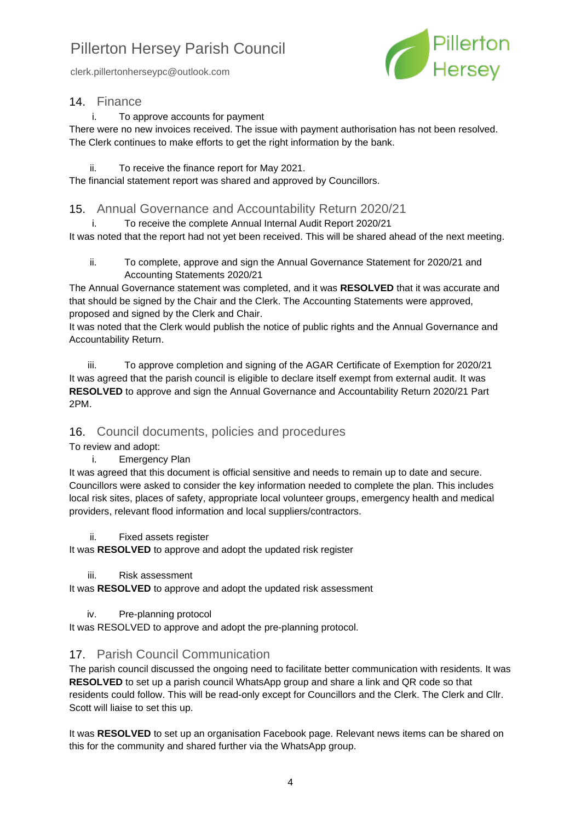clerk.pillertonherseypc@outlook.com



### 14. Finance

i. To approve accounts for payment

There were no new invoices received. The issue with payment authorisation has not been resolved. The Clerk continues to make efforts to get the right information by the bank.

#### ii. To receive the finance report for May 2021.

The financial statement report was shared and approved by Councillors.

### 15. Annual Governance and Accountability Return 2020/21

i. To receive the complete Annual Internal Audit Report 2020/21 It was noted that the report had not yet been received. This will be shared ahead of the next meeting.

ii. To complete, approve and sign the Annual Governance Statement for 2020/21 and Accounting Statements 2020/21

The Annual Governance statement was completed, and it was **RESOLVED** that it was accurate and that should be signed by the Chair and the Clerk. The Accounting Statements were approved, proposed and signed by the Clerk and Chair.

It was noted that the Clerk would publish the notice of public rights and the Annual Governance and Accountability Return.

iii. To approve completion and signing of the AGAR Certificate of Exemption for 2020/21 It was agreed that the parish council is eligible to declare itself exempt from external audit. It was **RESOLVED** to approve and sign the Annual Governance and Accountability Return 2020/21 Part 2PM.

## 16. Council documents, policies and procedures

To review and adopt:

#### i. Emergency Plan

It was agreed that this document is official sensitive and needs to remain up to date and secure. Councillors were asked to consider the key information needed to complete the plan. This includes local risk sites, places of safety, appropriate local volunteer groups, emergency health and medical providers, relevant flood information and local suppliers/contractors.

#### ii. Fixed assets register

It was **RESOLVED** to approve and adopt the updated risk register

iii. Risk assessment

It was **RESOLVED** to approve and adopt the updated risk assessment

#### iv. Pre-planning protocol

It was RESOLVED to approve and adopt the pre-planning protocol.

## 17. Parish Council Communication

The parish council discussed the ongoing need to facilitate better communication with residents. It was **RESOLVED** to set up a parish council WhatsApp group and share a link and QR code so that residents could follow. This will be read-only except for Councillors and the Clerk. The Clerk and Cllr. Scott will liaise to set this up.

It was **RESOLVED** to set up an organisation Facebook page. Relevant news items can be shared on this for the community and shared further via the WhatsApp group.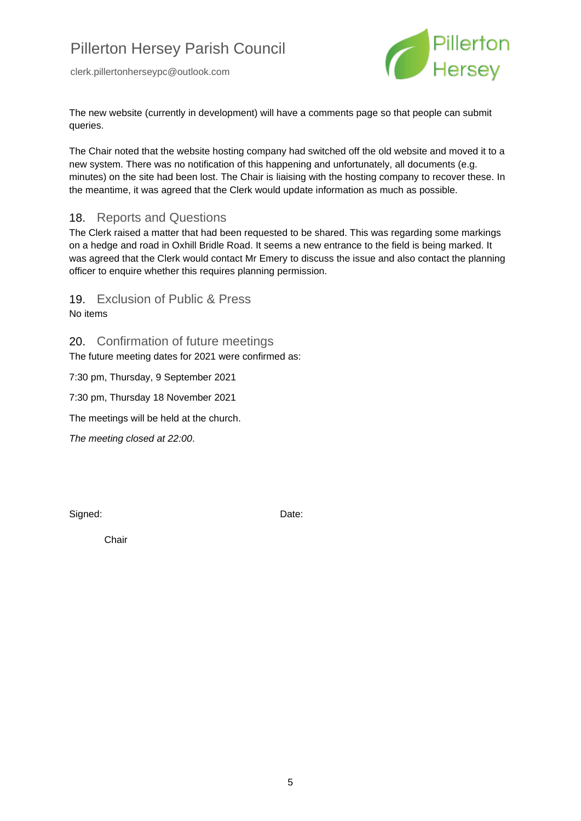

The new website (currently in development) will have a comments page so that people can submit queries.

The Chair noted that the website hosting company had switched off the old website and moved it to a new system. There was no notification of this happening and unfortunately, all documents (e.g. minutes) on the site had been lost. The Chair is liaising with the hosting company to recover these. In the meantime, it was agreed that the Clerk would update information as much as possible.

### 18. Reports and Questions

The Clerk raised a matter that had been requested to be shared. This was regarding some markings on a hedge and road in Oxhill Bridle Road. It seems a new entrance to the field is being marked. It was agreed that the Clerk would contact Mr Emery to discuss the issue and also contact the planning officer to enquire whether this requires planning permission.

19. Exclusion of Public & Press

No items

20. Confirmation of future meetings The future meeting dates for 2021 were confirmed as:

7:30 pm, Thursday, 9 September 2021

7:30 pm, Thursday 18 November 2021

The meetings will be held at the church.

*The meeting closed at 22:00*.

Signed: Date:

Chair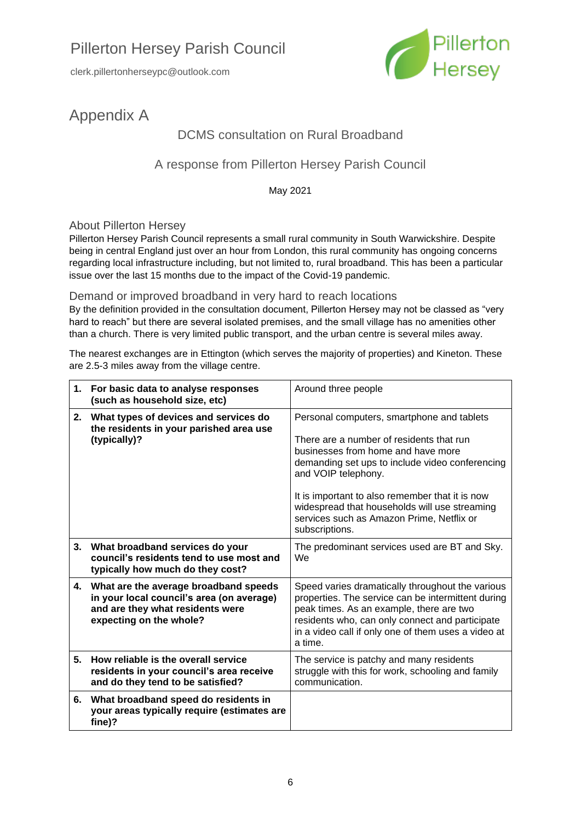

# Appendix A

# DCMS consultation on Rural Broadband

# A response from Pillerton Hersey Parish Council

May 2021

### About Pillerton Hersey

Pillerton Hersey Parish Council represents a small rural community in South Warwickshire. Despite being in central England just over an hour from London, this rural community has ongoing concerns regarding local infrastructure including, but not limited to, rural broadband. This has been a particular issue over the last 15 months due to the impact of the Covid-19 pandemic.

#### Demand or improved broadband in very hard to reach locations

By the definition provided in the consultation document, Pillerton Hersey may not be classed as "very hard to reach" but there are several isolated premises, and the small village has no amenities other than a church. There is very limited public transport, and the urban centre is several miles away.

The nearest exchanges are in Ettington (which serves the majority of properties) and Kineton. These are 2.5-3 miles away from the village centre.

| 1. | For basic data to analyse responses<br>(such as household size, etc)                                                                              | Around three people                                                                                                                                                                                                                                                                                                                                                       |  |  |
|----|---------------------------------------------------------------------------------------------------------------------------------------------------|---------------------------------------------------------------------------------------------------------------------------------------------------------------------------------------------------------------------------------------------------------------------------------------------------------------------------------------------------------------------------|--|--|
| 2. | What types of devices and services do<br>the residents in your parished area use<br>(typically)?                                                  | Personal computers, smartphone and tablets<br>There are a number of residents that run<br>businesses from home and have more<br>demanding set ups to include video conferencing<br>and VOIP telephony.<br>It is important to also remember that it is now<br>widespread that households will use streaming<br>services such as Amazon Prime, Netflix or<br>subscriptions. |  |  |
| 3. | What broadband services do your<br>council's residents tend to use most and<br>typically how much do they cost?                                   | The predominant services used are BT and Sky.<br>We                                                                                                                                                                                                                                                                                                                       |  |  |
| 4. | What are the average broadband speeds<br>in your local council's area (on average)<br>and are they what residents were<br>expecting on the whole? | Speed varies dramatically throughout the various<br>properties. The service can be intermittent during<br>peak times. As an example, there are two<br>residents who, can only connect and participate<br>in a video call if only one of them uses a video at<br>a time.                                                                                                   |  |  |
| 5. | How reliable is the overall service<br>residents in your council's area receive<br>and do they tend to be satisfied?                              | The service is patchy and many residents<br>struggle with this for work, schooling and family<br>communication.                                                                                                                                                                                                                                                           |  |  |
| 6. | What broadband speed do residents in<br>your areas typically require (estimates are<br>fine)?                                                     |                                                                                                                                                                                                                                                                                                                                                                           |  |  |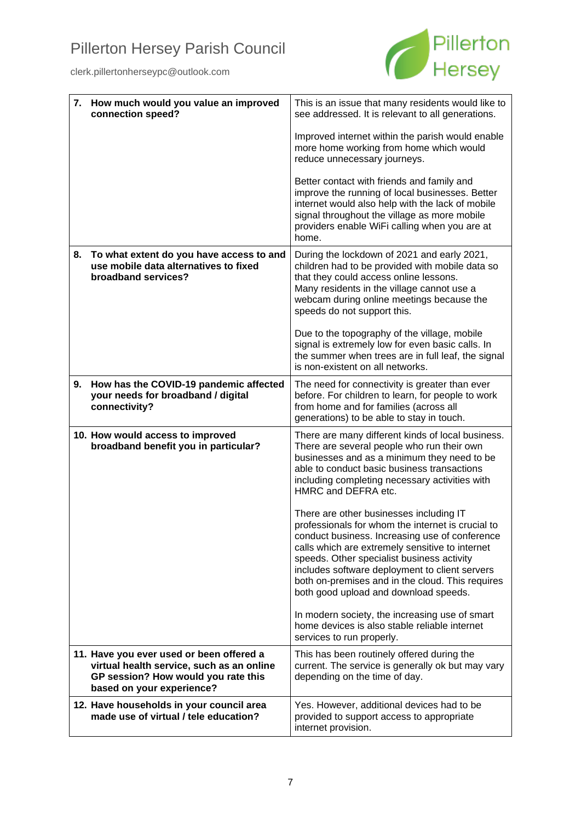

|    | 7. How much would you value an improved<br>connection speed?                                                                                              | This is an issue that many residents would like to<br>see addressed. It is relevant to all generations.                                                                                                                                                                                                                                                                                        |  |  |
|----|-----------------------------------------------------------------------------------------------------------------------------------------------------------|------------------------------------------------------------------------------------------------------------------------------------------------------------------------------------------------------------------------------------------------------------------------------------------------------------------------------------------------------------------------------------------------|--|--|
|    |                                                                                                                                                           | Improved internet within the parish would enable<br>more home working from home which would<br>reduce unnecessary journeys.                                                                                                                                                                                                                                                                    |  |  |
|    |                                                                                                                                                           | Better contact with friends and family and<br>improve the running of local businesses. Better<br>internet would also help with the lack of mobile<br>signal throughout the village as more mobile<br>providers enable WiFi calling when you are at<br>home.                                                                                                                                    |  |  |
| 8. | To what extent do you have access to and<br>use mobile data alternatives to fixed<br>broadband services?                                                  | During the lockdown of 2021 and early 2021,<br>children had to be provided with mobile data so<br>that they could access online lessons.<br>Many residents in the village cannot use a<br>webcam during online meetings because the<br>speeds do not support this.                                                                                                                             |  |  |
|    |                                                                                                                                                           | Due to the topography of the village, mobile<br>signal is extremely low for even basic calls. In<br>the summer when trees are in full leaf, the signal<br>is non-existent on all networks.                                                                                                                                                                                                     |  |  |
| 9. | How has the COVID-19 pandemic affected<br>your needs for broadband / digital<br>connectivity?                                                             | The need for connectivity is greater than ever<br>before. For children to learn, for people to work<br>from home and for families (across all<br>generations) to be able to stay in touch.                                                                                                                                                                                                     |  |  |
|    | 10. How would access to improved<br>broadband benefit you in particular?                                                                                  | There are many different kinds of local business.<br>There are several people who run their own<br>businesses and as a minimum they need to be<br>able to conduct basic business transactions<br>including completing necessary activities with<br>HMRC and DEFRA etc.                                                                                                                         |  |  |
|    |                                                                                                                                                           | There are other businesses including IT<br>professionals for whom the internet is crucial to<br>conduct business. Increasing use of conference<br>calls which are extremely sensitive to internet<br>speeds. Other specialist business activity<br>includes software deployment to client servers<br>both on-premises and in the cloud. This requires<br>both good upload and download speeds. |  |  |
|    |                                                                                                                                                           | In modern society, the increasing use of smart<br>home devices is also stable reliable internet<br>services to run properly.                                                                                                                                                                                                                                                                   |  |  |
|    | 11. Have you ever used or been offered a<br>virtual health service, such as an online<br>GP session? How would you rate this<br>based on your experience? | This has been routinely offered during the<br>current. The service is generally ok but may vary<br>depending on the time of day.                                                                                                                                                                                                                                                               |  |  |
|    | 12. Have households in your council area<br>made use of virtual / tele education?                                                                         | Yes. However, additional devices had to be<br>provided to support access to appropriate<br>internet provision.                                                                                                                                                                                                                                                                                 |  |  |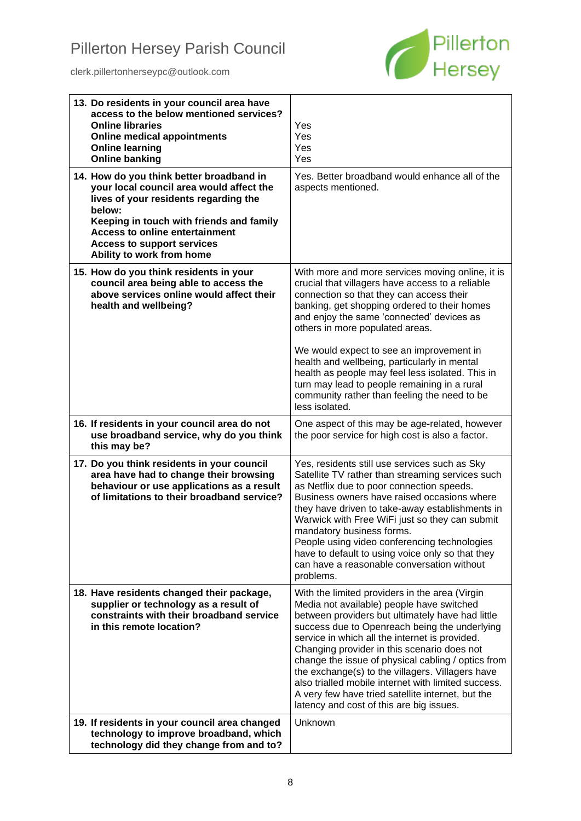

| 13. Do residents in your council area have<br>access to the below mentioned services?<br><b>Online libraries</b><br><b>Online medical appointments</b><br><b>Online learning</b><br><b>Online banking</b>                                                                                      | Yes<br>Yes<br>Yes<br>Yes                                                                                                                                                                                                                                                                                                                                                                                                                                                                                                                                            |
|------------------------------------------------------------------------------------------------------------------------------------------------------------------------------------------------------------------------------------------------------------------------------------------------|---------------------------------------------------------------------------------------------------------------------------------------------------------------------------------------------------------------------------------------------------------------------------------------------------------------------------------------------------------------------------------------------------------------------------------------------------------------------------------------------------------------------------------------------------------------------|
| 14. How do you think better broadband in<br>your local council area would affect the<br>lives of your residents regarding the<br>below:<br>Keeping in touch with friends and family<br><b>Access to online entertainment</b><br><b>Access to support services</b><br>Ability to work from home | Yes. Better broadband would enhance all of the<br>aspects mentioned.                                                                                                                                                                                                                                                                                                                                                                                                                                                                                                |
| 15. How do you think residents in your<br>council area being able to access the<br>above services online would affect their<br>health and wellbeing?                                                                                                                                           | With more and more services moving online, it is<br>crucial that villagers have access to a reliable<br>connection so that they can access their<br>banking, get shopping ordered to their homes<br>and enjoy the same 'connected' devices as<br>others in more populated areas.<br>We would expect to see an improvement in<br>health and wellbeing, particularly in mental<br>health as people may feel less isolated. This in<br>turn may lead to people remaining in a rural<br>community rather than feeling the need to be<br>less isolated.                  |
| 16. If residents in your council area do not<br>use broadband service, why do you think<br>this may be?                                                                                                                                                                                        | One aspect of this may be age-related, however<br>the poor service for high cost is also a factor.                                                                                                                                                                                                                                                                                                                                                                                                                                                                  |
| 17. Do you think residents in your council<br>area have had to change their browsing<br>behaviour or use applications as a result<br>of limitations to their broadband service?                                                                                                                | Yes, residents still use services such as Sky<br>Satellite TV rather than streaming services such<br>as Netflix due to poor connection speeds.<br>Business owners have raised occasions where<br>they have driven to take-away establishments in<br>Warwick with Free WiFi just so they can submit<br>mandatory business forms.<br>People using video conferencing technologies<br>have to default to using voice only so that they<br>can have a reasonable conversation without<br>problems.                                                                      |
| 18. Have residents changed their package,<br>supplier or technology as a result of<br>constraints with their broadband service<br>in this remote location?                                                                                                                                     | With the limited providers in the area (Virgin<br>Media not available) people have switched<br>between providers but ultimately have had little<br>success due to Openreach being the underlying<br>service in which all the internet is provided.<br>Changing provider in this scenario does not<br>change the issue of physical cabling / optics from<br>the exchange(s) to the villagers. Villagers have<br>also trialled mobile internet with limited success.<br>A very few have tried satellite internet, but the<br>latency and cost of this are big issues. |
| 19. If residents in your council area changed<br>technology to improve broadband, which<br>technology did they change from and to?                                                                                                                                                             | Unknown                                                                                                                                                                                                                                                                                                                                                                                                                                                                                                                                                             |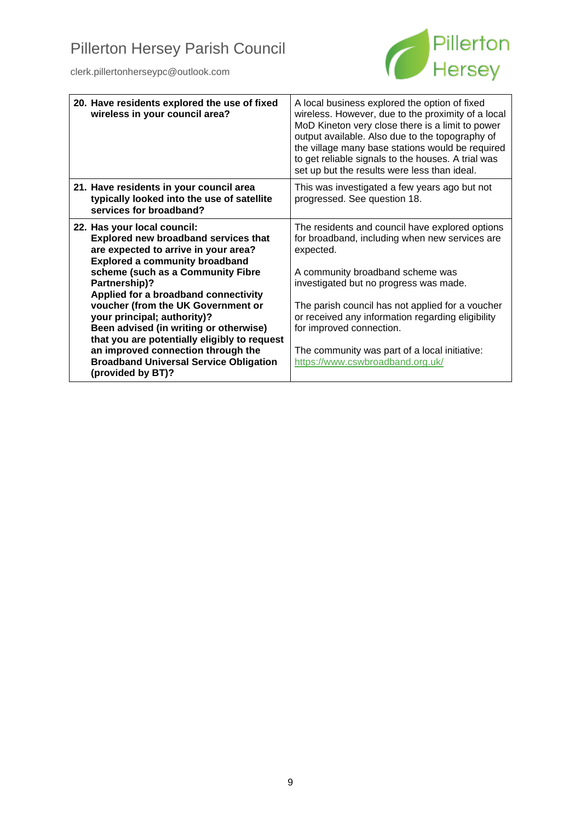

| A local business explored the option of fixed<br>wireless. However, due to the proximity of a local<br>MoD Kineton very close there is a limit to power<br>output available. Also due to the topography of<br>the village many base stations would be required<br>to get reliable signals to the houses. A trial was<br>set up but the results were less than ideal. |
|----------------------------------------------------------------------------------------------------------------------------------------------------------------------------------------------------------------------------------------------------------------------------------------------------------------------------------------------------------------------|
| This was investigated a few years ago but not<br>progressed. See question 18.                                                                                                                                                                                                                                                                                        |
| The residents and council have explored options<br>for broadband, including when new services are<br>expected.                                                                                                                                                                                                                                                       |
| A community broadband scheme was<br>investigated but no progress was made.                                                                                                                                                                                                                                                                                           |
| The parish council has not applied for a voucher<br>or received any information regarding eligibility<br>for improved connection.                                                                                                                                                                                                                                    |
| The community was part of a local initiative:<br>https://www.cswbroadband.org.uk/                                                                                                                                                                                                                                                                                    |
|                                                                                                                                                                                                                                                                                                                                                                      |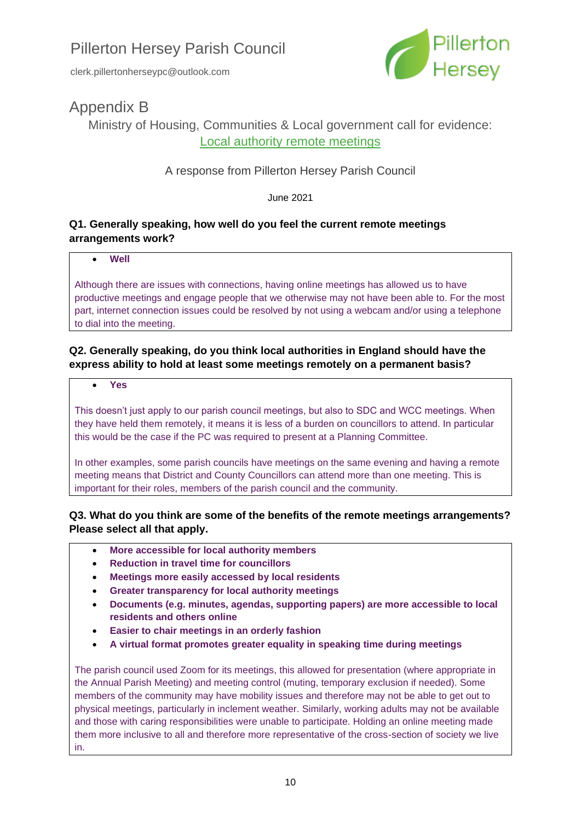

# Appendix B

Ministry of Housing, Communities & Local government call for evidence: [Local authority remote meetings](https://www.gov.uk/government/consultations/local-authority-remote-meetings-call-for-evidence/local-authority-remote-meetings-call-for-evidence#questions)

## A response from Pillerton Hersey Parish Council

June 2021

## **Q1. Generally speaking, how well do you feel the current remote meetings arrangements work?**

#### • **Well**

Although there are issues with connections, having online meetings has allowed us to have productive meetings and engage people that we otherwise may not have been able to. For the most part, internet connection issues could be resolved by not using a webcam and/or using a telephone to dial into the meeting.

## **Q2. Generally speaking, do you think local authorities in England should have the express ability to hold at least some meetings remotely on a permanent basis?**

#### • **Yes**

This doesn't just apply to our parish council meetings, but also to SDC and WCC meetings. When they have held them remotely, it means it is less of a burden on councillors to attend. In particular this would be the case if the PC was required to present at a Planning Committee.

In other examples, some parish councils have meetings on the same evening and having a remote meeting means that District and County Councillors can attend more than one meeting. This is important for their roles, members of the parish council and the community.

## **Q3. What do you think are some of the benefits of the remote meetings arrangements? Please select all that apply.**

- **More accessible for local authority members**
- **Reduction in travel time for councillors**
- **Meetings more easily accessed by local residents**
- **Greater transparency for local authority meetings**
- **Documents (e.g. minutes, agendas, supporting papers) are more accessible to local residents and others online**
- **Easier to chair meetings in an orderly fashion**
- **A virtual format promotes greater equality in speaking time during meetings**

The parish council used Zoom for its meetings, this allowed for presentation (where appropriate in the Annual Parish Meeting) and meeting control (muting, temporary exclusion if needed). Some members of the community may have mobility issues and therefore may not be able to get out to physical meetings, particularly in inclement weather. Similarly, working adults may not be available and those with caring responsibilities were unable to participate. Holding an online meeting made them more inclusive to all and therefore more representative of the cross-section of society we live in.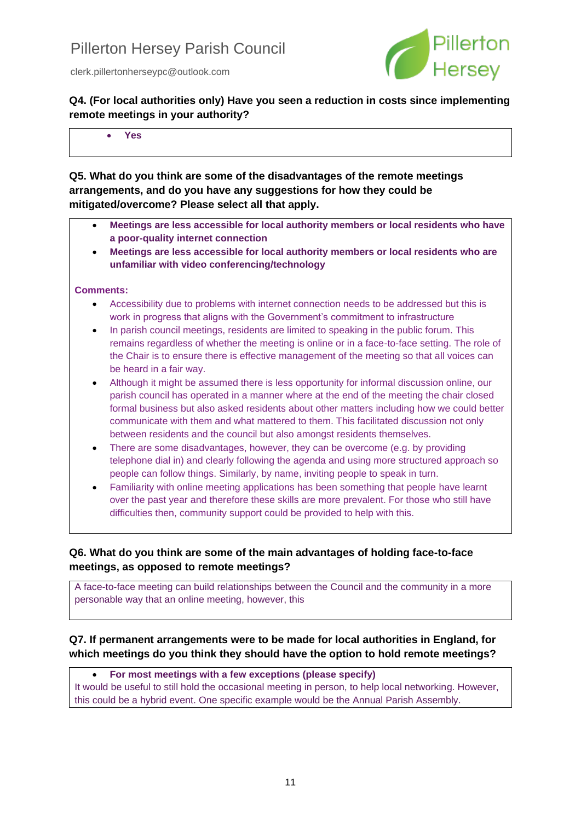

**Q4. (For local authorities only) Have you seen a reduction in costs since implementing remote meetings in your authority?**

• **Yes**

**Q5. What do you think are some of the disadvantages of the remote meetings arrangements, and do you have any suggestions for how they could be mitigated/overcome? Please select all that apply.**

- **Meetings are less accessible for local authority members or local residents who have a poor-quality internet connection**
- **Meetings are less accessible for local authority members or local residents who are unfamiliar with video conferencing/technology**

#### **Comments:**

- Accessibility due to problems with internet connection needs to be addressed but this is work in progress that aligns with the Government's commitment to infrastructure
- In parish council meetings, residents are limited to speaking in the public forum. This remains regardless of whether the meeting is online or in a face-to-face setting. The role of the Chair is to ensure there is effective management of the meeting so that all voices can be heard in a fair way.
- Although it might be assumed there is less opportunity for informal discussion online, our parish council has operated in a manner where at the end of the meeting the chair closed formal business but also asked residents about other matters including how we could better communicate with them and what mattered to them. This facilitated discussion not only between residents and the council but also amongst residents themselves.
- There are some disadvantages, however, they can be overcome (e.g. by providing telephone dial in) and clearly following the agenda and using more structured approach so people can follow things. Similarly, by name, inviting people to speak in turn.
- Familiarity with online meeting applications has been something that people have learnt over the past year and therefore these skills are more prevalent. For those who still have difficulties then, community support could be provided to help with this.

## **Q6. What do you think are some of the main advantages of holding face-to-face meetings, as opposed to remote meetings?**

A face-to-face meeting can build relationships between the Council and the community in a more personable way that an online meeting, however, this

## **Q7. If permanent arrangements were to be made for local authorities in England, for which meetings do you think they should have the option to hold remote meetings?**

• **For most meetings with a few exceptions (please specify)** It would be useful to still hold the occasional meeting in person, to help local networking. However, this could be a hybrid event. One specific example would be the Annual Parish Assembly.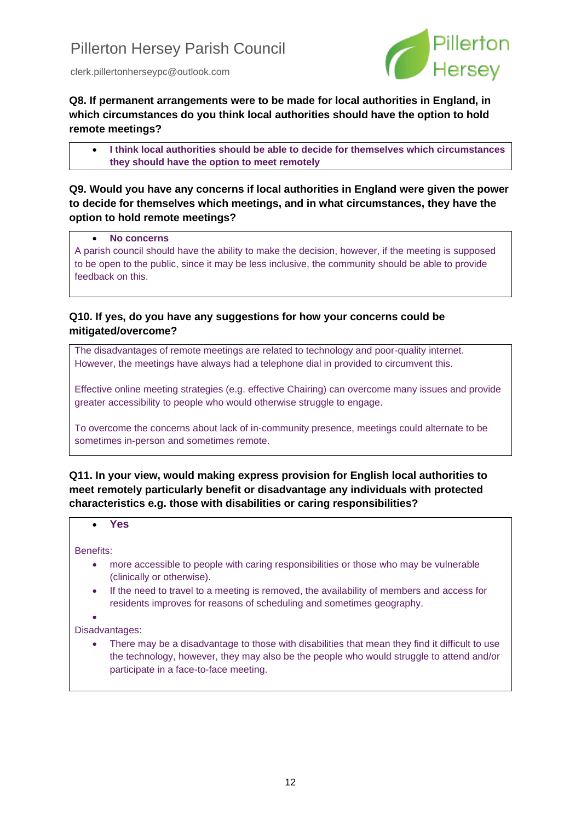

**Q8. If permanent arrangements were to be made for local authorities in England, in which circumstances do you think local authorities should have the option to hold remote meetings?**

• **I think local authorities should be able to decide for themselves which circumstances they should have the option to meet remotely**

### **Q9. Would you have any concerns if local authorities in England were given the power to decide for themselves which meetings, and in what circumstances, they have the option to hold remote meetings?**

#### • **No concerns**

A parish council should have the ability to make the decision, however, if the meeting is supposed to be open to the public, since it may be less inclusive, the community should be able to provide feedback on this.

### **Q10. If yes, do you have any suggestions for how your concerns could be mitigated/overcome?**

The disadvantages of remote meetings are related to technology and poor-quality internet. However, the meetings have always had a telephone dial in provided to circumvent this.

Effective online meeting strategies (e.g. effective Chairing) can overcome many issues and provide greater accessibility to people who would otherwise struggle to engage.

To overcome the concerns about lack of in-community presence, meetings could alternate to be sometimes in-person and sometimes remote.

**Q11. In your view, would making express provision for English local authorities to meet remotely particularly benefit or disadvantage any individuals with protected characteristics e.g. those with disabilities or caring responsibilities?**

#### • **Yes**

Benefits:

- more accessible to people with caring responsibilities or those who may be vulnerable (clinically or otherwise).
- If the need to travel to a meeting is removed, the availability of members and access for residents improves for reasons of scheduling and sometimes geography.

•

Disadvantages:

• There may be a disadvantage to those with disabilities that mean they find it difficult to use the technology, however, they may also be the people who would struggle to attend and/or participate in a face-to-face meeting.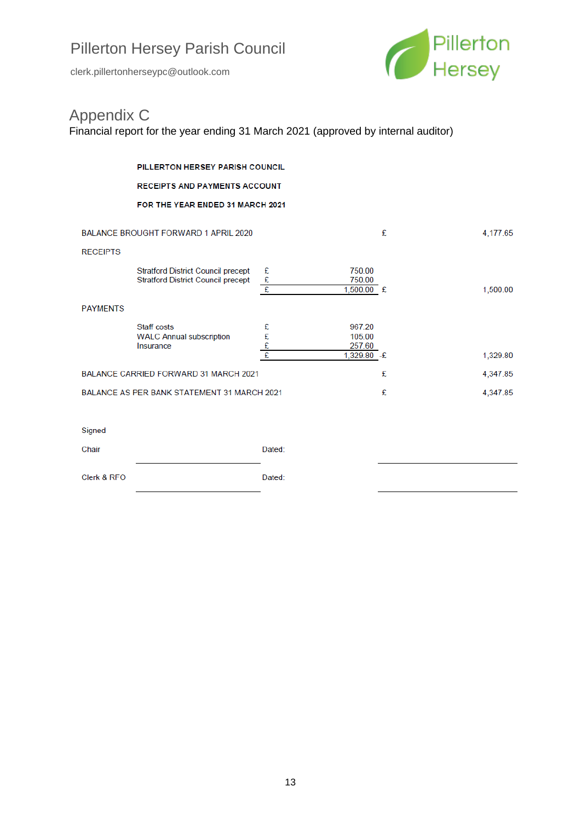clerk.pillertonherseypc@outlook.com



# Appendix C

Financial report for the year ending 31 March 2021 (approved by internal auditor)

|                                             | PILLERTON HERSEY PARISH COUNCIL                                                        |                                |                                            |   |          |
|---------------------------------------------|----------------------------------------------------------------------------------------|--------------------------------|--------------------------------------------|---|----------|
|                                             | <b>RECEIPTS AND PAYMENTS ACCOUNT</b>                                                   |                                |                                            |   |          |
|                                             | FOR THE YEAR ENDED 31 MARCH 2021                                                       |                                |                                            |   |          |
| <b>BALANCE BROUGHT FORWARD 1 APRIL 2020</b> |                                                                                        |                                |                                            | £ | 4,177.65 |
| <b>RECEIPTS</b>                             | <b>Stratford District Council precept</b><br><b>Stratford District Council precept</b> | £<br>$\pmb{\mathfrak{L}}$<br>£ | 750.00<br>750.00<br>1,500.00 £             |   | 1,500.00 |
| <b>PAYMENTS</b>                             |                                                                                        |                                |                                            |   |          |
|                                             | <b>Staff costs</b><br><b>WALC Annual subscription</b><br>Insurance                     | £<br>E<br>E<br>E               | 967.20<br>105.00<br>257.60<br>1,329.80 - £ |   | 1,329.80 |
| BALANCE CARRIED FORWARD 31 MARCH 2021       |                                                                                        |                                |                                            | £ | 4,347.85 |
| BALANCE AS PER BANK STATEMENT 31 MARCH 2021 |                                                                                        |                                |                                            | £ | 4,347.85 |
|                                             |                                                                                        |                                |                                            |   |          |
| Signed                                      |                                                                                        |                                |                                            |   |          |
| Chair                                       |                                                                                        | Dated:                         |                                            |   |          |
| Clerk & RFO                                 |                                                                                        | Dated:                         |                                            |   |          |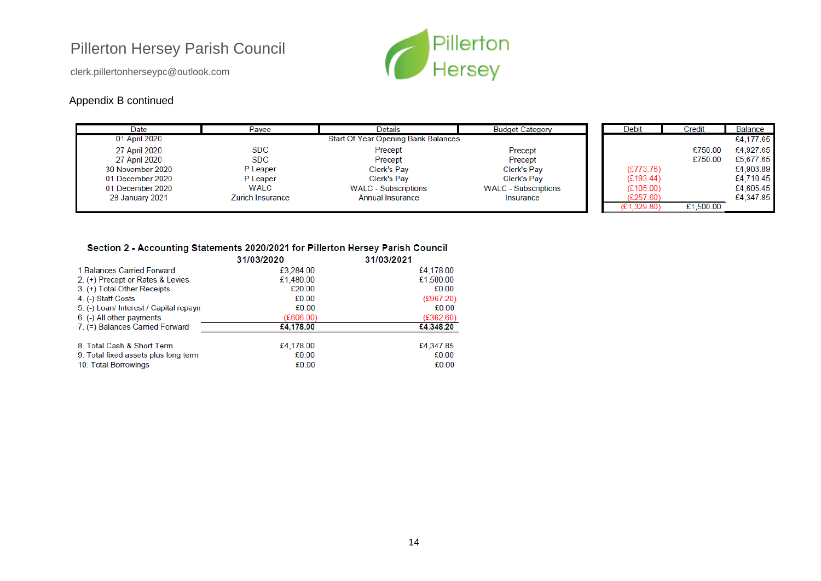clerk.pillertonherseypc@outlook.com

## Appendix B continued



| Date                 | Payee                   | <b>Details</b>                             | <b>Budget Category</b>      | Debit     | Credit    | <b>Balance</b> |
|----------------------|-------------------------|--------------------------------------------|-----------------------------|-----------|-----------|----------------|
| 01 April 2020        |                         | <b>Start Of Year Opening Bank Balances</b> |                             |           |           | £4,177.65      |
| <b>27 April 2020</b> | SDC                     | Precept                                    | Precept                     |           | £750.00   | £4,927.65      |
| 27 April 2020        | <b>SDC</b>              | Precept                                    | Precept                     |           | £750.00   | £5,677.65      |
| 30 November 2020     | P Leaper                | Clerk's Pay                                | Clerk's Pay                 | (E773.76) |           | £4,903.89      |
| 01 December 2020     | P Leaper                | <b>Clerk's Pay</b>                         | Clerk's Pay                 | (E193.44) |           | £4,710.45      |
| 01 December 2020     | WALC                    | <b>WALC</b> - Subscriptions                | <b>WALC</b> - Subscriptions | (E105.00) |           | £4,605.45      |
| 28 January 2021      | <b>Zurich Insurance</b> | Annual Insurance                           | Insurance                   | (E257.60) |           | £4,347.85      |
|                      |                         |                                            |                             | ,329.80   | £1,500.00 |                |

#### Section 2 - Accounting Statements 2020/2021 for Pillerton Hersey Parish Council

|                                        | 31/03/2020 | 31/03/2021 |
|----------------------------------------|------------|------------|
| 1. Balances Carried Forward            | £3,284.00  | £4,178.00  |
| 2. (+) Precept or Rates & Levies       | £1,480.00  | £1,500.00  |
| 3. (+) Total Other Receipts            | £20.00     | £0.00      |
| 4. (-) Staff Costs                     | £0.00      | (E967.20)  |
| 5. (-) Loan/ Interest / Capital repaym | £0.00      | £0.00      |
| 6. (-) All other payments              | (E606.00)  | (E362.60)  |
| 7. (=) Balances Carried Forward        | £4,178.00  | £4,348.20  |
| 8. Total Cash & Short Term             | £4,178.00  | £4,347.85  |
| 9. Total fixed assets plus long term   | £0.00      | £0.00      |
| 10. Total Borrowings                   | £0.00      | £0.00      |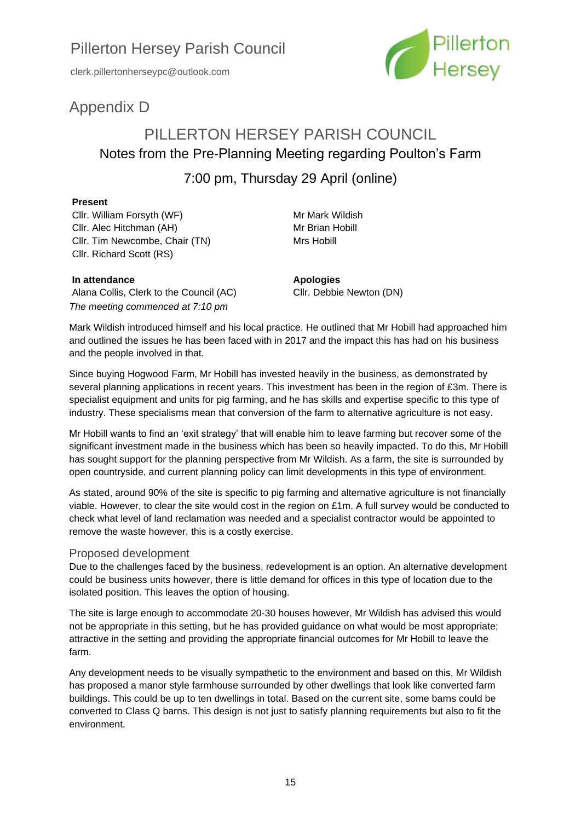clerk.pillertonherseypc@outlook.com



# Appendix D

# PILLERTON HERSEY PARISH COUNCIL Notes from the Pre-Planning Meeting regarding Poulton's Farm

# 7:00 pm, Thursday 29 April (online)

#### **Present**

Cllr. William Forsyth (WF) Cllr. Alec Hitchman (AH) Cllr. Tim Newcombe, Chair (TN) Cllr. Richard Scott (RS)

Mr Mark Wildish Mr Brian Hobill Mrs Hobill

#### **In attendance**

Alana Collis, Clerk to the Council (AC) *The meeting commenced at 7:10 pm*

**Apologies** Cllr. Debbie Newton (DN)

Mark Wildish introduced himself and his local practice. He outlined that Mr Hobill had approached him and outlined the issues he has been faced with in 2017 and the impact this has had on his business and the people involved in that.

Since buying Hogwood Farm, Mr Hobill has invested heavily in the business, as demonstrated by several planning applications in recent years. This investment has been in the region of £3m. There is specialist equipment and units for pig farming, and he has skills and expertise specific to this type of industry. These specialisms mean that conversion of the farm to alternative agriculture is not easy.

Mr Hobill wants to find an 'exit strategy' that will enable him to leave farming but recover some of the significant investment made in the business which has been so heavily impacted. To do this, Mr Hobill has sought support for the planning perspective from Mr Wildish. As a farm, the site is surrounded by open countryside, and current planning policy can limit developments in this type of environment.

As stated, around 90% of the site is specific to pig farming and alternative agriculture is not financially viable. However, to clear the site would cost in the region on £1m. A full survey would be conducted to check what level of land reclamation was needed and a specialist contractor would be appointed to remove the waste however, this is a costly exercise.

#### Proposed development

Due to the challenges faced by the business, redevelopment is an option. An alternative development could be business units however, there is little demand for offices in this type of location due to the isolated position. This leaves the option of housing.

The site is large enough to accommodate 20-30 houses however, Mr Wildish has advised this would not be appropriate in this setting, but he has provided guidance on what would be most appropriate; attractive in the setting and providing the appropriate financial outcomes for Mr Hobill to leave the farm.

Any development needs to be visually sympathetic to the environment and based on this, Mr Wildish has proposed a manor style farmhouse surrounded by other dwellings that look like converted farm buildings. This could be up to ten dwellings in total. Based on the current site, some barns could be converted to Class Q barns. This design is not just to satisfy planning requirements but also to fit the environment.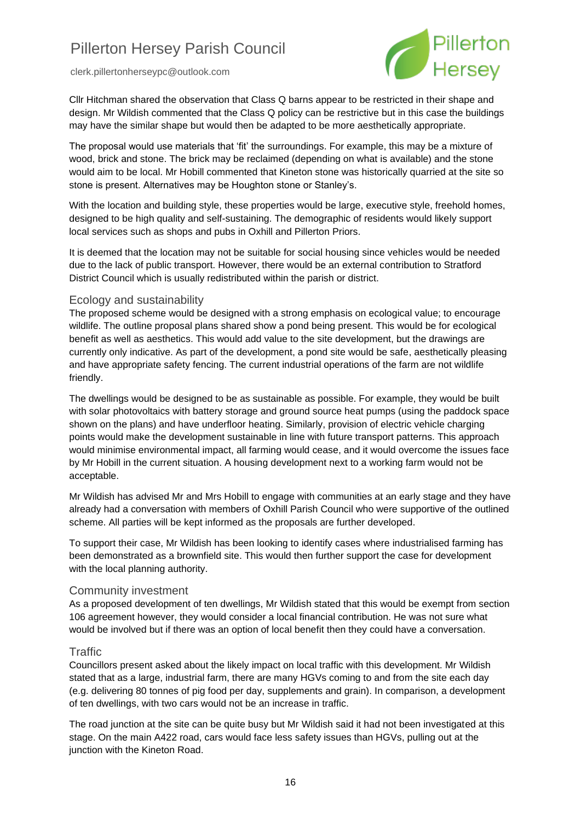clerk.pillertonherseypc@outlook.com



Cllr Hitchman shared the observation that Class Q barns appear to be restricted in their shape and design. Mr Wildish commented that the Class Q policy can be restrictive but in this case the buildings may have the similar shape but would then be adapted to be more aesthetically appropriate.

The proposal would use materials that 'fit' the surroundings. For example, this may be a mixture of wood, brick and stone. The brick may be reclaimed (depending on what is available) and the stone would aim to be local. Mr Hobill commented that Kineton stone was historically quarried at the site so stone is present. Alternatives may be Houghton stone or Stanley's.

With the location and building style, these properties would be large, executive style, freehold homes, designed to be high quality and self-sustaining. The demographic of residents would likely support local services such as shops and pubs in Oxhill and Pillerton Priors.

It is deemed that the location may not be suitable for social housing since vehicles would be needed due to the lack of public transport. However, there would be an external contribution to Stratford District Council which is usually redistributed within the parish or district.

#### Ecology and sustainability

The proposed scheme would be designed with a strong emphasis on ecological value; to encourage wildlife. The outline proposal plans shared show a pond being present. This would be for ecological benefit as well as aesthetics. This would add value to the site development, but the drawings are currently only indicative. As part of the development, a pond site would be safe, aesthetically pleasing and have appropriate safety fencing. The current industrial operations of the farm are not wildlife friendly.

The dwellings would be designed to be as sustainable as possible. For example, they would be built with solar photovoltaics with battery storage and ground source heat pumps (using the paddock space shown on the plans) and have underfloor heating. Similarly, provision of electric vehicle charging points would make the development sustainable in line with future transport patterns. This approach would minimise environmental impact, all farming would cease, and it would overcome the issues face by Mr Hobill in the current situation. A housing development next to a working farm would not be acceptable.

Mr Wildish has advised Mr and Mrs Hobill to engage with communities at an early stage and they have already had a conversation with members of Oxhill Parish Council who were supportive of the outlined scheme. All parties will be kept informed as the proposals are further developed.

To support their case, Mr Wildish has been looking to identify cases where industrialised farming has been demonstrated as a brownfield site. This would then further support the case for development with the local planning authority.

#### Community investment

As a proposed development of ten dwellings, Mr Wildish stated that this would be exempt from section 106 agreement however, they would consider a local financial contribution. He was not sure what would be involved but if there was an option of local benefit then they could have a conversation.

#### **Traffic**

Councillors present asked about the likely impact on local traffic with this development. Mr Wildish stated that as a large, industrial farm, there are many HGVs coming to and from the site each day (e.g. delivering 80 tonnes of pig food per day, supplements and grain). In comparison, a development of ten dwellings, with two cars would not be an increase in traffic.

The road junction at the site can be quite busy but Mr Wildish said it had not been investigated at this stage. On the main A422 road, cars would face less safety issues than HGVs, pulling out at the junction with the Kineton Road.